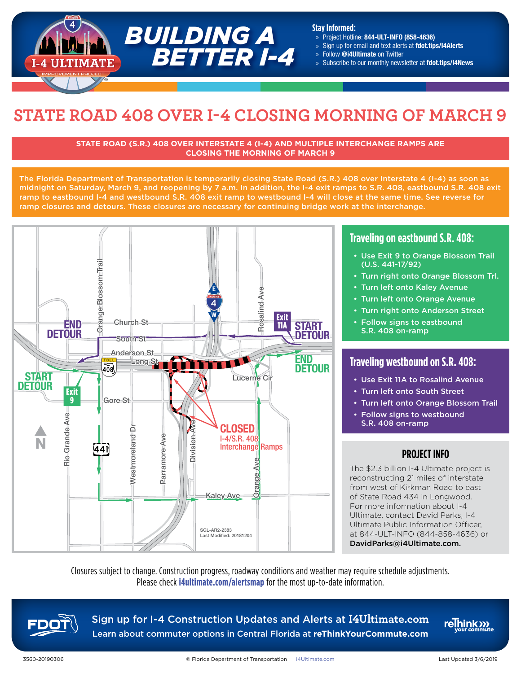

#### **Stay Informed:**

- » Project Hotline: 844-ULT-INFO (858-4636)
- » Sign up for email and text alerts at fdot.tips/I4Alerts
- » Follow @i4Ultimate on Twitter
- » Subscribe to our monthly newsletter at fdot.tips/I4News

# **STATE ROAD 408 OVER I-4 CLOSING MORNING OF MARCH 9**

#### **STATE ROAD (S.R.) 408 OVER INTERSTATE 4 (I-4) AND MULTIPLE INTERCHANGE RAMPS ARE CLOSING THE MORNING OF MARCH 9**

The Florida Department of Transportation is temporarily closing State Road (S.R.) 408 over Interstate 4 (I-4) as soon as midnight on Saturday, March 9, and reopening by 7 a.m. In addition, the I-4 exit ramps to S.R. 408, eastbound S.R. 408 exit ramp to eastbound I-4 and westbound S.R. 408 exit ramp to westbound I-4 will close at the same time. See reverse for ramp closures and detours. These closures are necessary for continuing bridge work at the interchange.<br>'



## **Traveling on eastbound S.R. 408:**

- Use Exit 9 to Orange Blossom Trail (U.S. 441-17/92)
- Turn right onto Orange Blossom Trl.
- Turn left onto Kaley Avenue
- Turn left onto Orange Avenue
- Turn right onto Anderson Street
- Follow signs to eastbound S.R. 408 on-ramp

## **Traveling westbound on S.R. 408:**

- Use Exit 11A to Rosalind Avenue
- Turn left onto South Street
- Turn left onto Orange Blossom Trail
- Follow signs to westbound S.R. 408 on-ramp

## **PROJECT INFO**

The \$2.3 billion I-4 Ultimate project is reconstructing 21 miles of interstate from west of Kirkman Road to east of State Road 434 in Longwood. For more information about I-4 Ultimate, contact David Parks, I-4 Ultimate Public Information Officer, at 844-ULT-INFO (844-858-4636) or DavidParks@i4Ultimate.com.

Closures subject to change. Construction progress, roadway conditions and weather may require schedule adjustments. Please check **i4ultimate.com/alertsmap** for the most up-to-date information.



Sign up for I-4 Construction Updates and Alerts at **I4Ultimate.com** Learn about commuter options in Central Florida at **reThinkYourCommute.com**